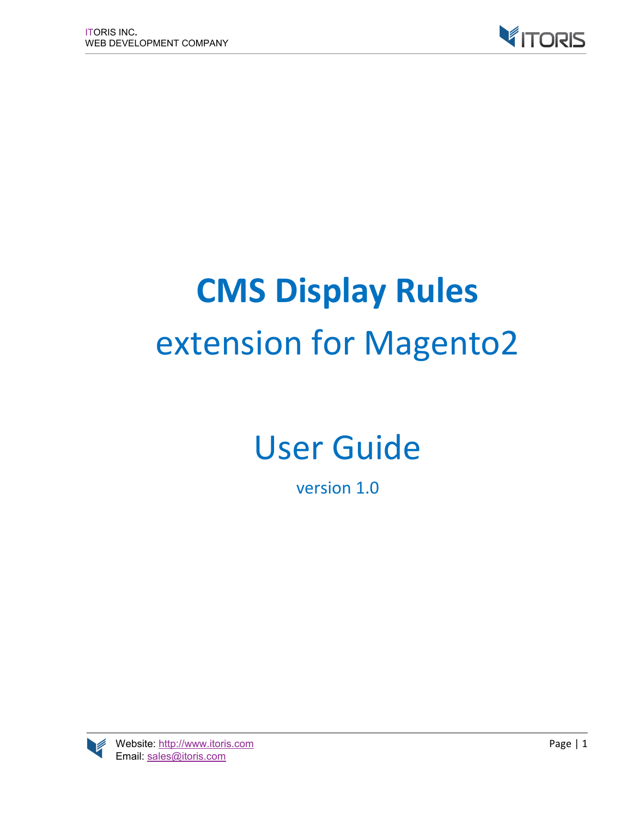

# **CMS Display Rules** extension for Magento2

# User Guide

version 1.0

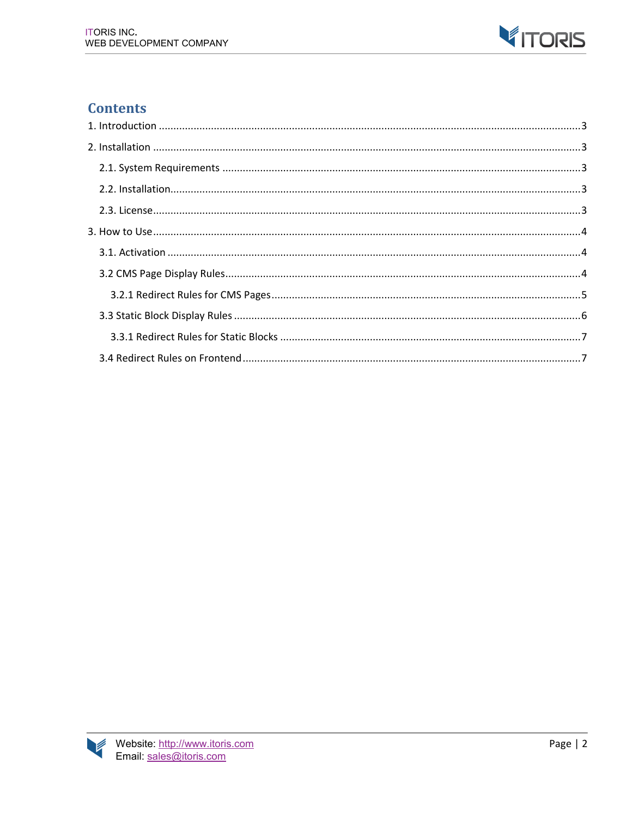

# **Contents**

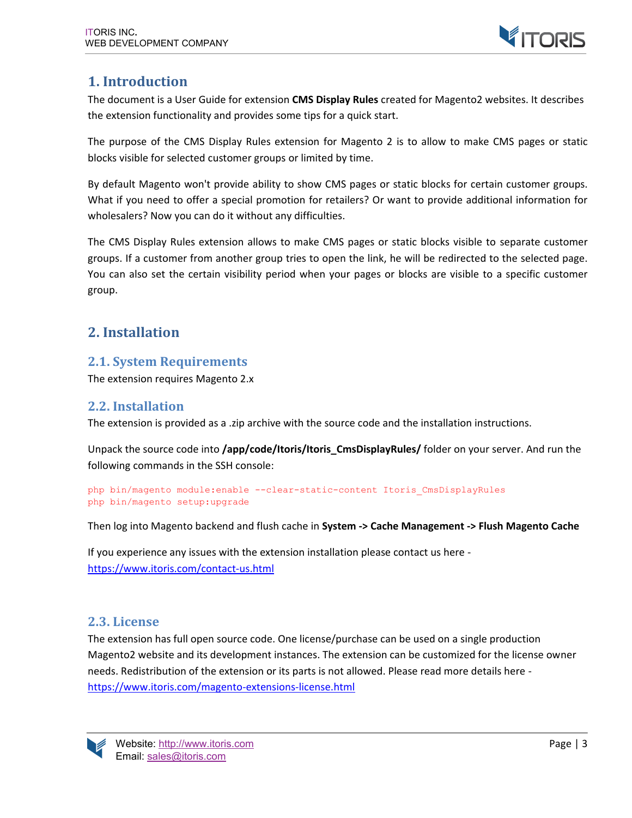

# **1. Introduction**

The document is a User Guide for extension **CMS Display Rules** created for Magento2 websites. It describes the extension functionality and provides some tips for a quick start.

The purpose of the CMS Display Rules extension for Magento 2 is to allow to make CMS pages or static blocks visible for selected customer groups or limited by time.

By default Magento won't provide ability to show CMS pages or static blocks for certain customer groups. What if you need to offer a special promotion for retailers? Or want to provide additional information for wholesalers? Now you can do it without any difficulties.

The CMS Display Rules extension allows to make CMS pages or static blocks visible to separate customer groups. If a customer from another group tries to open the link, he will be redirected to the selected page. You can also set the certain visibility period when your pages or blocks are visible to a specific customer group.

# **2. Installation**

# **2.1. System Requirements**

The extension requires Magento 2.x

#### **2.2. Installation**

The extension is provided as a .zip archive with the source code and the installation instructions.

Unpack the source code into **/app/code/Itoris/Itoris\_CmsDisplayRules/** folder on your server. And run the following commands in the SSH console:

```
php bin/magento module:enable --clear-static-content Itoris_CmsDisplayRules
php bin/magento setup:upgrade
```
Then log into Magento backend and flush cache in **System -> Cache Management -> Flush Magento Cache**

If you experience any issues with the extension installation please contact us here https://www.itoris.com/contact-us.html

### **2.3. License**

The extension has full open source code. One license/purchase can be used on a single production Magento2 website and its development instances. The extension can be customized for the license owner needs. Redistribution of the extension or its parts is not allowed. Please read more details here https://www.itoris.com/magento-extensions-license.html

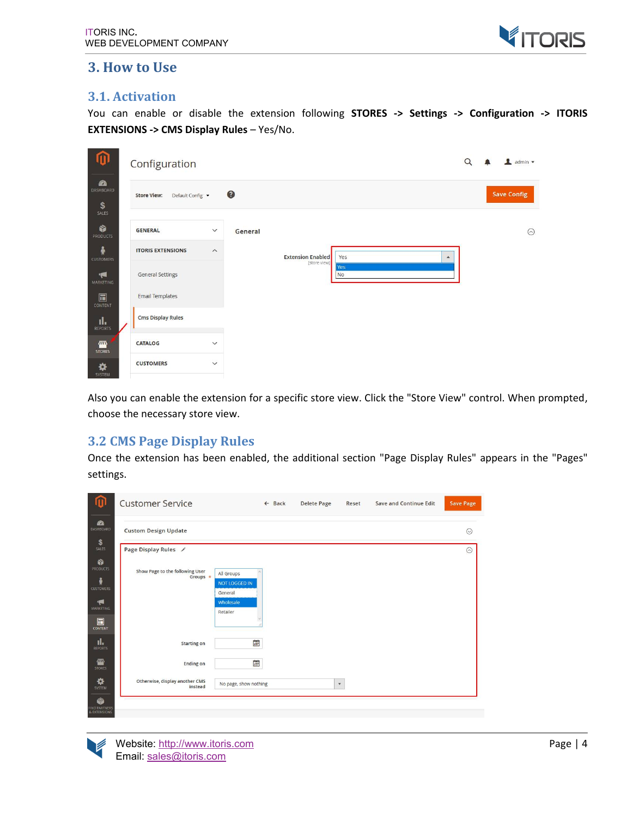

# **3. How to Use**

#### **3.1. Activation**

You can enable or disable the extension following **STORES -> Settings -> Configuration -> ITORIS EXTENSIONS -> CMS Display Rules** – Yes/No.

| 10                                          | Configuration                          |                         |           |                                          |                         | $\Omega$ | admin v            |
|---------------------------------------------|----------------------------------------|-------------------------|-----------|------------------------------------------|-------------------------|----------|--------------------|
| <b>a</b><br><b>DASHBOARD</b><br>\$<br>SALES | <b>Store View:</b><br>Default Config v |                         | $\bullet$ |                                          |                         |          | <b>Save Config</b> |
| ŵ<br>PRODUCTS                               | <b>GENERAL</b>                         | $\checkmark$            | General   |                                          |                         |          | $\odot$            |
| Ŵ<br><b>CUSTOMERS</b>                       | <b>ITORIS EXTENSIONS</b>               | $\widehat{\phantom{a}}$ |           | <b>Extension Enabled</b><br>[store view] | Yes<br>$\blacktriangle$ |          |                    |
| や<br>MARKETING                              | <b>General Settings</b>                |                         |           |                                          | Yes<br><b>No</b>        |          |                    |
| 同<br>CONTENT                                | <b>Email Templates</b>                 |                         |           |                                          |                         |          |                    |
| $\prod_{\mathsf{REPORTS}}$                  | <b>Cms Display Rules</b>               |                         |           |                                          |                         |          |                    |
| 伵<br><b>STORES</b>                          | <b>CATALOG</b>                         | $\checkmark$            |           |                                          |                         |          |                    |
| ⋫<br>SYSTEM                                 | <b>CUSTOMERS</b>                       | $\checkmark$            |           |                                          |                         |          |                    |

Also you can enable the extension for a specific store view. Click the "Store View" control. When prompted, choose the necessary store view.

### **3.2 CMS Page Display Rules**

Once the extension has been enabled, the additional section "Page Display Rules" appears in the "Pages" settings.



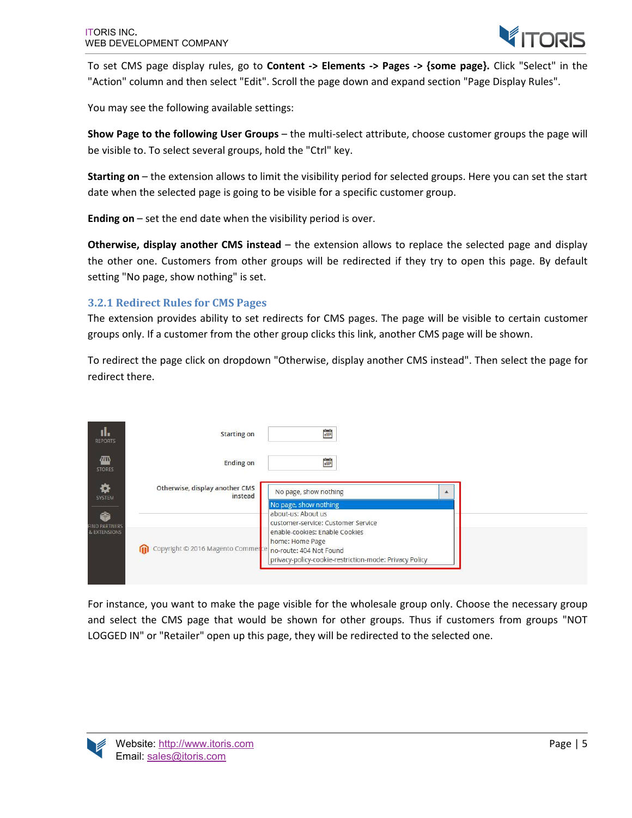

To set CMS page display rules, go to **Content -> Elements -> Pages -> {some page}.** Click "Select" in the "Action" column and then select "Edit". Scroll the page down and expand section "Page Display Rules".

You may see the following available settings:

**Show Page to the following User Groups** – the multi-select attribute, choose customer groups the page will be visible to. To select several groups, hold the "Ctrl" key.

**Starting on** – the extension allows to limit the visibility period for selected groups. Here you can set the start date when the selected page is going to be visible for a specific customer group.

**Ending on** – set the end date when the visibility period is over.

**Otherwise, display another CMS instead** – the extension allows to replace the selected page and display the other one. Customers from other groups will be redirected if they try to open this page. By default setting "No page, show nothing" is set.

#### **3.2.1 Redirect Rules for CMS Pages**

The extension provides ability to set redirects for CMS pages. The page will be visible to certain customer groups only. If a customer from the other group clicks this link, another CMS page will be shown.

To redirect the page click on dropdown "Otherwise, display another CMS instead". Then select the page for redirect there.

| ıl.<br><b>REPORTS</b>                              | <b>Starting on</b>                        | 圖                                                                                                                                      |
|----------------------------------------------------|-------------------------------------------|----------------------------------------------------------------------------------------------------------------------------------------|
| <b>ATTS</b><br><b>STORES</b>                       | <b>Ending on</b>                          | 麠                                                                                                                                      |
| ✿<br>SYSTEM<br>é.<br>FIND PARTNERS<br>& EXTENSIONS | Otherwise, display another CMS<br>instead | No page, show nothing<br>No page, show nothing<br>about-us: About us<br>customer-service: Customer Service                             |
|                                                    | Copyright © 2016 Magento Commerce         | enable-cookies: Enable Cookies<br>home: Home Page<br>no-route: 404 Not Found<br>privacy-policy-cookie-restriction-mode: Privacy Policy |

For instance, you want to make the page visible for the wholesale group only. Choose the necessary group and select the CMS page that would be shown for other groups. Thus if customers from groups "NOT LOGGED IN" or "Retailer" open up this page, they will be redirected to the selected one.

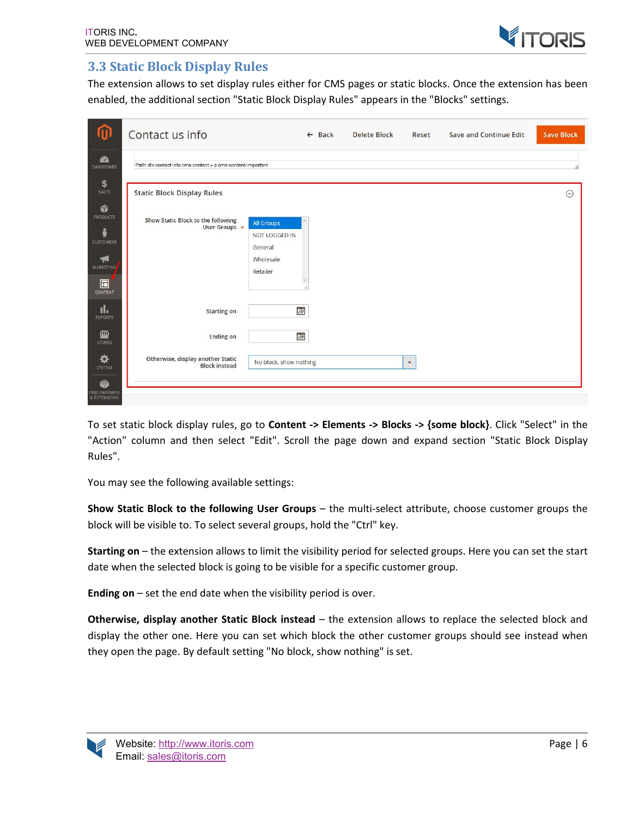

#### **3.3 Static Block Display Rules**

The extension allows to set display rules either for CMS pages or static blocks. Once the extension has been enabled, the additional section "Static Block Display Rules" appears in the "Blocks" settings.

| 血                                             | Contact us info                                              |                                        | $\leftarrow$ Back | <b>Delete Block</b> | Reset            | <b>Save and Continue Edit</b> | <b>Save Block</b> |
|-----------------------------------------------|--------------------------------------------------------------|----------------------------------------|-------------------|---------------------|------------------|-------------------------------|-------------------|
| 2<br>DASHBOARD                                | Path: div.contact-info cms-content » p.cms-content-important |                                        |                   |                     |                  |                               | n.                |
| \$<br>SALES                                   | <b>Static Block Display Rules</b>                            |                                        |                   |                     |                  |                               | $\odot$           |
| Ŵ<br><b>PRODUCTS</b><br>Å<br><b>CUSTOMERS</b> | Show Static Block to the following<br>User Groups *          | All Groups<br>NOT LOGGED IN<br>General |                   |                     |                  |                               |                   |
| ۴<br><b>MARKETING</b><br>$\boxdot$<br>CONTENT |                                                              | Wholesale<br>Retailer                  |                   |                     |                  |                               |                   |
| ıl.<br>REPORTS                                | <b>Starting on</b>                                           | Ė                                      |                   |                     |                  |                               |                   |
| ▥<br><b>STORES</b>                            | <b>Ending on</b>                                             | <b>Fille</b>                           |                   |                     |                  |                               |                   |
| ✿<br>SYSTEM<br>ø                              | Otherwise, display another Static<br><b>Block instead</b>    | No block, show nothing                 |                   |                     | $\blacktriangle$ |                               |                   |
| <b>FIND PARTNERS</b><br>& EXTENSIONS          |                                                              |                                        |                   |                     |                  |                               |                   |

To set static block display rules, go to **Content -> Elements -> Blocks -> {some block}**. Click "Select" in the "Action" column and then select "Edit". Scroll the page down and expand section "Static Block Display Rules".

You may see the following available settings:

**Show Static Block to the following User Groups** – the multi-select attribute, choose customer groups the block will be visible to. To select several groups, hold the "Ctrl" key.

**Starting on** – the extension allows to limit the visibility period for selected groups. Here you can set the start date when the selected block is going to be visible for a specific customer group.

**Ending on** – set the end date when the visibility period is over.

**Otherwise, display another Static Block instead** – the extension allows to replace the selected block and display the other one. Here you can set which block the other customer groups should see instead when they open the page. By default setting "No block, show nothing" is set.

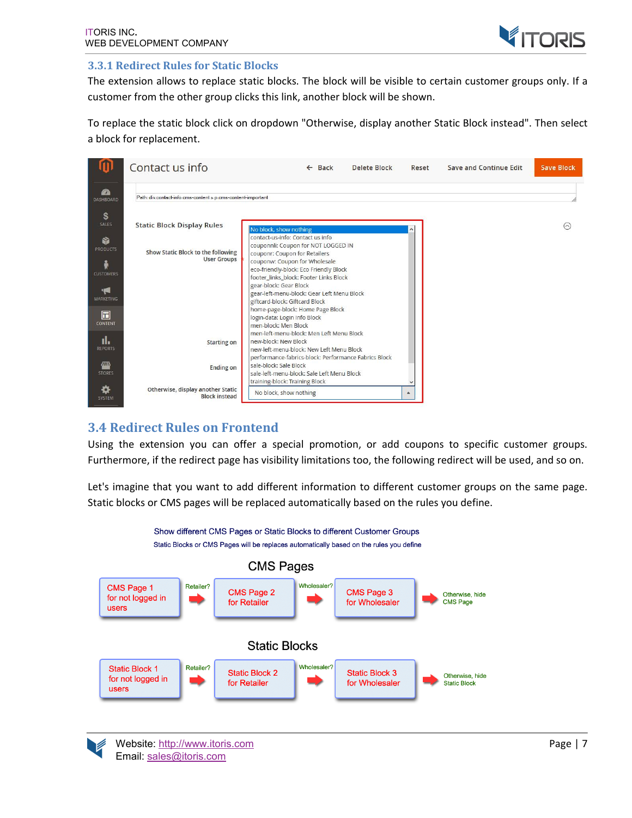

#### **3.3.1 Redirect Rules for Static Blocks**

The extension allows to replace static blocks. The block will be visible to certain customer groups only. If a customer from the other group clicks this link, another block will be shown.

To replace the static block click on dropdown "Otherwise, display another Static Block instead". Then select a block for replacement.



#### **3.4 Redirect Rules on Frontend**

Using the extension you can offer a special promotion, or add coupons to specific customer groups. Furthermore, if the redirect page has visibility limitations too, the following redirect will be used, and so on.

Let's imagine that you want to add different information to different customer groups on the same page. Static blocks or CMS pages will be replaced automatically based on the rules you define.



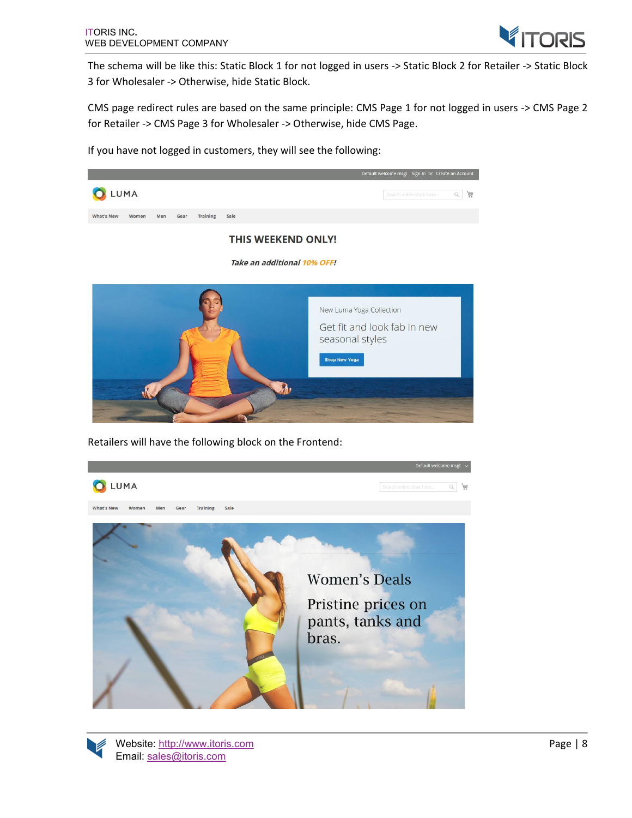

The schema will be like this: Static Block 1 for not logged in users -> Static Block 2 for Retailer -> Static Block 3 for Wholesaler -> Otherwise, hide Static Block.

CMS page redirect rules are based on the same principle: CMS Page 1 for not logged in users -> CMS Page 2 for Retailer -> CMS Page 3 for Wholesaler -> Otherwise, hide CMS Page.

If you have not logged in customers, they will see the following:



Retailers will have the following block on the Frontend: